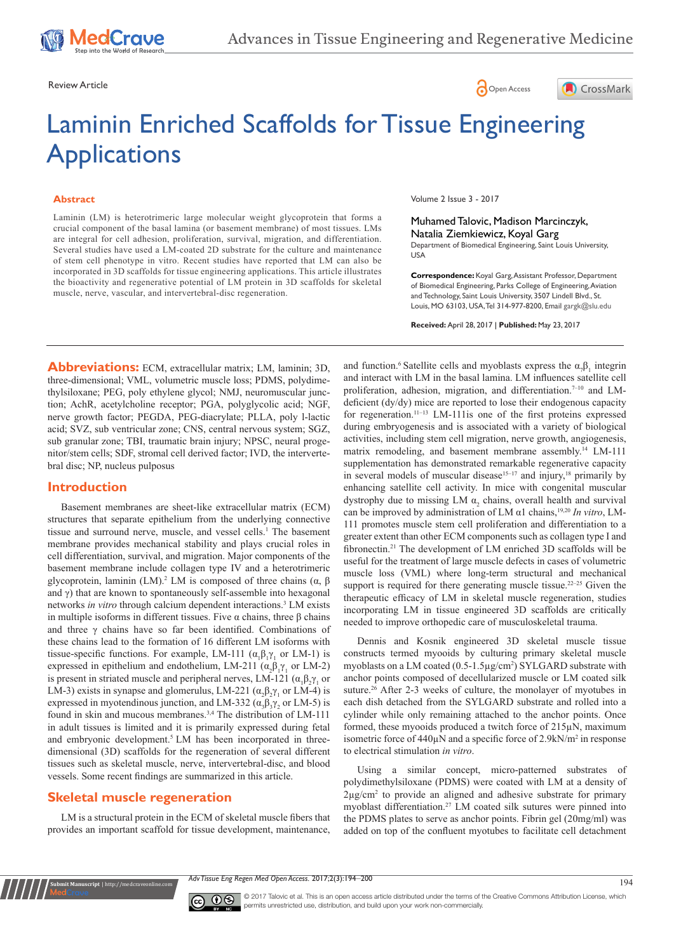





# Laminin Enriched Scaffolds for Tissue Engineering **Applications**

#### **Abstract**

Laminin (LM) is heterotrimeric large molecular weight glycoprotein that forms a crucial component of the basal lamina (or basement membrane) of most tissues. LMs are integral for cell adhesion, proliferation, survival, migration, and differentiation. Several studies have used a LM-coated 2D substrate for the culture and maintenance of stem cell phenotype in vitro. Recent studies have reported that LM can also be incorporated in 3D scaffolds for tissue engineering applications. This article illustrates the bioactivity and regenerative potential of LM protein in 3D scaffolds for skeletal muscle, nerve, vascular, and intervertebral-disc regeneration.

Volume 2 Issue 3 - 2017

Muhamed Talovic, Madison Marcinczyk, Natalia Ziemkiewicz, Koyal Garg Department of Biomedical Engineering, Saint Louis University, USA

**Correspondence:** Koyal Garg, Assistant Professor, Department of Biomedical Engineering, Parks College of Engineering, Aviation and Technology, Saint Louis University, 3507 Lindell Blvd., St. Louis, MO 63103, USA, Tel 314-977-8200, Email gargk@slu.edu

**Received:** April 28, 2017 | **Published:** May 23, 2017

**Abbreviations:** ECM, extracellular matrix; LM, laminin; 3D, three-dimensional; VML, volumetric muscle loss; PDMS, polydimethylsiloxane; PEG, poly ethylene glycol; NMJ, neuromuscular junction; AchR, acetylcholine receptor; PGA, polyglycolic acid; NGF, nerve growth factor; PEGDA, PEG-diacrylate; PLLA, poly l-lactic acid; SVZ, sub ventricular zone; CNS, central nervous system; SGZ, sub granular zone; TBI, traumatic brain injury; NPSC, neural progenitor/stem cells; SDF, stromal cell derived factor; IVD, the intervertebral disc; NP, nucleus pulposus

# **Introduction**

Basement membranes are sheet-like extracellular matrix (ECM) structures that separate epithelium from the underlying connective tissue and surround nerve, muscle, and vessel cells.<sup>1</sup> The basement membrane provides mechanical stability and plays crucial roles in cell differentiation, survival, and migration. Major components of the basement membrane include collagen type IV and a heterotrimeric glycoprotein, laminin (LM).<sup>2</sup> LM is composed of three chains (α, β and  $\gamma$ ) that are known to spontaneously self-assemble into hexagonal networks *in vitro* through calcium dependent interactions.3 LM exists in multiple isoforms in different tissues. Five α chains, three β chains and three γ chains have so far been identified. Combinations of these chains lead to the formation of 16 different LM isoforms with tissue-specific functions. For example, LM-111  $(\alpha_1 \beta_1 \gamma_1)$  or LM-1) is expressed in epithelium and endothelium, LM-211  $(\alpha_2 \beta_1 \gamma_1)$  or LM-2) is present in striated muscle and peripheral nerves, LM-121 ( $\alpha_1 \beta_2 \gamma_1$  or LM-3) exists in synapse and glomerulus, LM-221 ( $\alpha_2 \beta_2 \gamma_1$  or LM-4) is expressed in myotendinous junction, and LM-332 ( $\alpha_3 \beta_3 \gamma_2$  or LM-5) is found in skin and mucous membranes.3,4 The distribution of LM-111 in adult tissues is limited and it is primarily expressed during fetal and embryonic development.<sup>5</sup> LM has been incorporated in threedimensional (3D) scaffolds for the regeneration of several different tissues such as skeletal muscle, nerve, intervertebral-disc, and blood vessels. Some recent findings are summarized in this article.

# **Skeletal muscle regeneration**

**nit Manuscript** | http://medcraveonlii

LM is a structural protein in the ECM of skeletal muscle fibers that provides an important scaffold for tissue development, maintenance, and function.<sup>6</sup> Satellite cells and myoblasts express the  $\alpha_{\gamma}\beta_1$  integrin and interact with LM in the basal lamina. LM influences satellite cell proliferation, adhesion, migration, and differentiation.<sup>7-10</sup> and LMdeficient (dy/dy) mice are reported to lose their endogenous capacity for regeneration.11–13 LM-111is one of the first proteins expressed during embryogenesis and is associated with a variety of biological activities, including stem cell migration, nerve growth, angiogenesis, matrix remodeling, and basement membrane assembly.<sup>14</sup> LM-111 supplementation has demonstrated remarkable regenerative capacity in several models of muscular disease<sup>15–17</sup> and injury,<sup>18</sup> primarily by enhancing satellite cell activity. In mice with congenital muscular dystrophy due to missing LM  $\alpha$ <sub>2</sub> chains, overall health and survival can be improved by administration of LM α1 chains,19,20 *In vitro*, LM-111 promotes muscle stem cell proliferation and differentiation to a greater extent than other ECM components such as collagen type I and fibronectin.21 The development of LM enriched 3D scaffolds will be useful for the treatment of large muscle defects in cases of volumetric muscle loss (VML) where long-term structural and mechanical support is required for there generating muscle tissue.<sup>22–25</sup> Given the therapeutic efficacy of LM in skeletal muscle regeneration, studies incorporating LM in tissue engineered 3D scaffolds are critically needed to improve orthopedic care of musculoskeletal trauma.

Dennis and Kosnik engineered 3D skeletal muscle tissue constructs termed myooids by culturing primary skeletal muscle myoblasts on a LM coated (0.5-1.5µg/cm<sup>2</sup>) SYLGARD substrate with anchor points composed of decellularized muscle or LM coated silk suture.<sup>26</sup> After 2-3 weeks of culture, the monolayer of myotubes in each dish detached from the SYLGARD substrate and rolled into a cylinder while only remaining attached to the anchor points. Once formed, these myooids produced a twitch force of 215µN, maximum isometric force of 440µN and a specific force of 2.9kN/m<sup>2</sup> in response to electrical stimulation *in vitro*.

Using a similar concept, micro-patterned substrates of polydimethylsiloxane (PDMS) were coated with LM at a density of 2µg/cm2 to provide an aligned and adhesive substrate for primary myoblast differentiation.27 LM coated silk sutures were pinned into the PDMS plates to serve as anchor points. Fibrin gel (20mg/ml) was added on top of the confluent myotubes to facilitate cell detachment

*Adv Tissue Eng Regen Med Open Access.* 2017;2(3):194–200

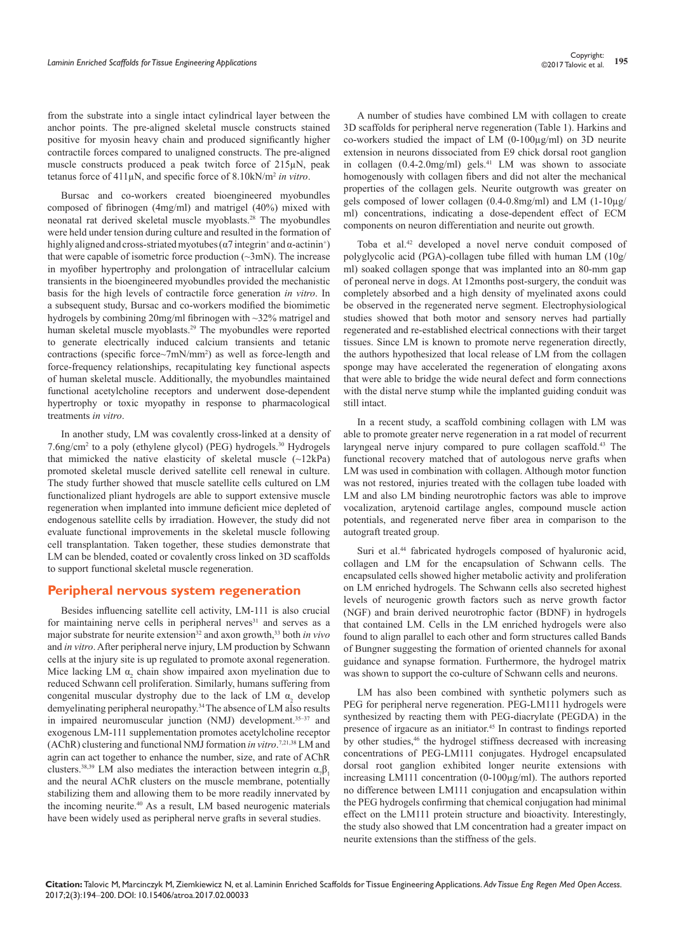from the substrate into a single intact cylindrical layer between the anchor points. The pre-aligned skeletal muscle constructs stained positive for myosin heavy chain and produced significantly higher contractile forces compared to unaligned constructs. The pre-aligned muscle constructs produced a peak twitch force of 215µN, peak tetanus force of 411µN, and specific force of 8.10kN/m<sup>2</sup> *in vitro*.

Bursac and co-workers created bioengineered myobundles composed of fibrinogen (4mg/ml) and matrigel (40%) mixed with neonatal rat derived skeletal muscle myoblasts.28 The myobundles were held under tension during culture and resulted in the formation of highly aligned and cross-striated myotubes ( $\alpha$ 7 integrin<sup>+</sup> and  $\alpha$ -actinin<sup>+</sup>) that were capable of isometric force production  $(\sim 3 \text{mN})$ . The increase in myofiber hypertrophy and prolongation of intracellular calcium transients in the bioengineered myobundles provided the mechanistic basis for the high levels of contractile force generation *in vitro*. In a subsequent study, Bursac and co-workers modified the biomimetic hydrogels by combining 20mg/ml fibrinogen with ~32% matrigel and human skeletal muscle myoblasts.29 The myobundles were reported to generate electrically induced calcium transients and tetanic contractions (specific force~7mN/mm<sup>2</sup>) as well as force-length and force-frequency relationships, recapitulating key functional aspects of human skeletal muscle. Additionally, the myobundles maintained functional acetylcholine receptors and underwent dose-dependent hypertrophy or toxic myopathy in response to pharmacological treatments *in vitro*.

In another study, LM was covalently cross-linked at a density of 7.6ng/cm2 to a poly (ethylene glycol) (PEG) hydrogels.30 Hydrogels that mimicked the native elasticity of skeletal muscle (~12kPa) promoted skeletal muscle derived satellite cell renewal in culture. The study further showed that muscle satellite cells cultured on LM functionalized pliant hydrogels are able to support extensive muscle regeneration when implanted into immune deficient mice depleted of endogenous satellite cells by irradiation. However, the study did not evaluate functional improvements in the skeletal muscle following cell transplantation. Taken together, these studies demonstrate that LM can be blended, coated or covalently cross linked on 3D scaffolds to support functional skeletal muscle regeneration.

## **Peripheral nervous system regeneration**

Besides influencing satellite cell activity, LM-111 is also crucial for maintaining nerve cells in peripheral nerves<sup>31</sup> and serves as a major substrate for neurite extension<sup>32</sup> and axon growth,<sup>33</sup> both *in vivo* and *in vitro*. After peripheral nerve injury, LM production by Schwann cells at the injury site is up regulated to promote axonal regeneration. Mice lacking LM  $\alpha$ <sub>2</sub> chain show impaired axon myelination due to reduced Schwann cell proliferation. Similarly, humans suffering from congenital muscular dystrophy due to the lack of LM  $\alpha_2$  develop demyelinating peripheral neuropathy.34 The absence of LM also results in impaired neuromuscular junction (NMJ) development.<sup>35-37</sup> and exogenous LM-111 supplementation promotes acetylcholine receptor (AChR) clustering and functional NMJ formation *in vitro*. 7,21,38 LM and agrin can act together to enhance the number, size, and rate of AChR clusters.<sup>38,39</sup> LM also mediates the interaction between integrin  $\alpha_{\gamma} \beta_1$ and the neural AChR clusters on the muscle membrane, potentially stabilizing them and allowing them to be more readily innervated by the incoming neurite.40 As a result, LM based neurogenic materials have been widely used as peripheral nerve grafts in several studies.

A number of studies have combined LM with collagen to create 3D scaffolds for peripheral nerve regeneration (Table 1). Harkins and co-workers studied the impact of LM (0-100µg/ml) on 3D neurite extension in neurons dissociated from E9 chick dorsal root ganglion in collagen  $(0.4-2.0$ mg/ml) gels.<sup>41</sup> LM was shown to associate homogenously with collagen fibers and did not alter the mechanical properties of the collagen gels. Neurite outgrowth was greater on gels composed of lower collagen (0.4-0.8mg/ml) and LM (1-10µg/ ml) concentrations, indicating a dose-dependent effect of ECM components on neuron differentiation and neurite out growth.

Toba et al.42 developed a novel nerve conduit composed of polyglycolic acid (PGA)-collagen tube filled with human LM (10g/ ml) soaked collagen sponge that was implanted into an 80-mm gap of peroneal nerve in dogs. At 12months post-surgery, the conduit was completely absorbed and a high density of myelinated axons could be observed in the regenerated nerve segment. Electrophysiological studies showed that both motor and sensory nerves had partially regenerated and re-established electrical connections with their target tissues. Since LM is known to promote nerve regeneration directly, the authors hypothesized that local release of LM from the collagen sponge may have accelerated the regeneration of elongating axons that were able to bridge the wide neural defect and form connections with the distal nerve stump while the implanted guiding conduit was still intact.

In a recent study, a scaffold combining collagen with LM was able to promote greater nerve regeneration in a rat model of recurrent laryngeal nerve injury compared to pure collagen scaffold.<sup>43</sup> The functional recovery matched that of autologous nerve grafts when LM was used in combination with collagen. Although motor function was not restored, injuries treated with the collagen tube loaded with LM and also LM binding neurotrophic factors was able to improve vocalization, arytenoid cartilage angles, compound muscle action potentials, and regenerated nerve fiber area in comparison to the autograft treated group.

Suri et al.<sup>44</sup> fabricated hydrogels composed of hyaluronic acid, collagen and LM for the encapsulation of Schwann cells. The encapsulated cells showed higher metabolic activity and proliferation on LM enriched hydrogels. The Schwann cells also secreted highest levels of neurogenic growth factors such as nerve growth factor (NGF) and brain derived neurotrophic factor (BDNF) in hydrogels that contained LM. Cells in the LM enriched hydrogels were also found to align parallel to each other and form structures called Bands of Bungner suggesting the formation of oriented channels for axonal guidance and synapse formation. Furthermore, the hydrogel matrix was shown to support the co-culture of Schwann cells and neurons.

LM has also been combined with synthetic polymers such as PEG for peripheral nerve regeneration. PEG-LM111 hydrogels were synthesized by reacting them with PEG-diacrylate (PEGDA) in the presence of irgacure as an initiator.45 In contrast to findings reported by other studies,<sup>46</sup> the hydrogel stiffness decreased with increasing concentrations of PEG-LM111 conjugates. Hydrogel encapsulated dorsal root ganglion exhibited longer neurite extensions with increasing LM111 concentration (0-100µg/ml). The authors reported no difference between LM111 conjugation and encapsulation within the PEG hydrogels confirming that chemical conjugation had minimal effect on the LM111 protein structure and bioactivity. Interestingly, the study also showed that LM concentration had a greater impact on neurite extensions than the stiffness of the gels.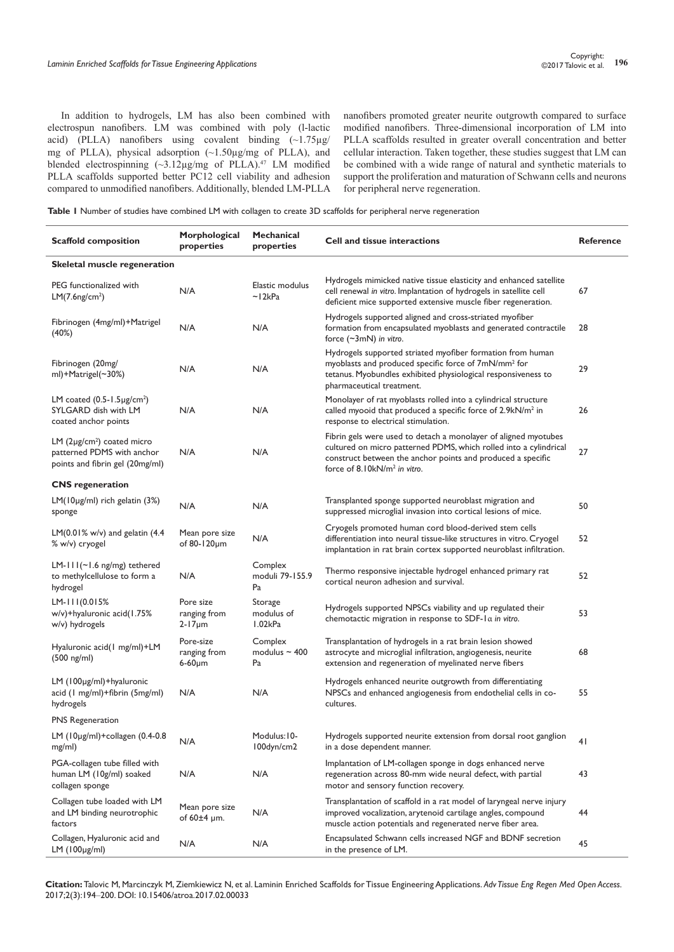In addition to hydrogels, LM has also been combined with electrospun nanofibers. LM was combined with poly (l-lactic acid) (PLLA) nanofibers using covalent binding  $(\sim 1.75 \mu g$ / mg of PLLA), physical adsorption (~1.50µg/mg of PLLA), and blended electrospinning  $(\sim 3.12 \mu g/mg)$  of PLLA).<sup>47</sup> LM modified PLLA scaffolds supported better PC12 cell viability and adhesion compared to unmodified nanofibers. Additionally, blended LM-PLLA nanofibers promoted greater neurite outgrowth compared to surface modified nanofibers. Three-dimensional incorporation of LM into PLLA scaffolds resulted in greater overall concentration and better cellular interaction. Taken together, these studies suggest that LM can be combined with a wide range of natural and synthetic materials to support the proliferation and maturation of Schwann cells and neurons for peripheral nerve regeneration.

**Table 1** Number of studies have combined LM with collagen to create 3D scaffolds for peripheral nerve regeneration

| <b>Scaffold composition</b>                                                                      | Morphological<br>properties                 | <b>Mechanical</b><br>properties     | <b>Cell and tissue interactions</b>                                                                                                                                                                                                             | <b>Reference</b> |  |  |
|--------------------------------------------------------------------------------------------------|---------------------------------------------|-------------------------------------|-------------------------------------------------------------------------------------------------------------------------------------------------------------------------------------------------------------------------------------------------|------------------|--|--|
| Skeletal muscle regeneration                                                                     |                                             |                                     |                                                                                                                                                                                                                                                 |                  |  |  |
| PEG functionalized with<br>LM(7.6ng/cm <sup>2</sup> )                                            | N/A                                         | Elastic modulus<br>~12kPa           | Hydrogels mimicked native tissue elasticity and enhanced satellite<br>cell renewal in vitro. Implantation of hydrogels in satellite cell<br>deficient mice supported extensive muscle fiber regeneration.                                       | 67               |  |  |
| Fibrinogen (4mg/ml)+Matrigel<br>(40%)                                                            | N/A                                         | N/A                                 | Hydrogels supported aligned and cross-striated myofiber<br>formation from encapsulated myoblasts and generated contractile<br>force $(\sim 3$ mN) in vitro.                                                                                     | 28               |  |  |
| Fibrinogen (20mg/<br>ml)+Matrigel(~30%)                                                          | N/A                                         | N/A                                 | Hydrogels supported striated myofiber formation from human<br>myoblasts and produced specific force of 7mN/mm <sup>2</sup> for<br>tetanus. Myobundles exhibited physiological responsiveness to<br>pharmaceutical treatment.                    | 29               |  |  |
| LM coated $(0.5 - 1.5 \mu g/cm^2)$<br>SYLGARD dish with LM<br>coated anchor points               | N/A                                         | N/A                                 | Monolayer of rat myoblasts rolled into a cylindrical structure<br>called myooid that produced a specific force of 2.9kN/m <sup>2</sup> in<br>response to electrical stimulation.                                                                | 26               |  |  |
| LM $(2\mu g/cm^2)$ coated micro<br>patterned PDMS with anchor<br>points and fibrin gel (20mg/ml) | N/A                                         | N/A                                 | Fibrin gels were used to detach a monolayer of aligned myotubes<br>cultured on micro patterned PDMS, which rolled into a cylindrical<br>construct between the anchor points and produced a specific<br>force of 8.10kN/m <sup>2</sup> in vitro. | 27               |  |  |
| <b>CNS</b> regeneration                                                                          |                                             |                                     |                                                                                                                                                                                                                                                 |                  |  |  |
| $LM(10\mu g/ml)$ rich gelatin $(3%)$<br>sponge                                                   | N/A                                         | N/A                                 | Transplanted sponge supported neuroblast migration and<br>suppressed microglial invasion into cortical lesions of mice.                                                                                                                         | 50               |  |  |
| LM(0.01% w/v) and gelatin $(4.4)$<br>% w/v) cryogel                                              | Mean pore size<br>of 80-120µm               | N/A                                 | Cryogels promoted human cord blood-derived stem cells<br>differentiation into neural tissue-like structures in vitro. Cryogel<br>implantation in rat brain cortex supported neuroblast infiltration.                                            | 52               |  |  |
| $LM-III(\sim I.6$ ng/mg) tethered<br>to methylcellulose to form a<br>hydrogel                    | N/A                                         | Complex<br>moduli 79-155.9<br>Pa    | Thermo responsive injectable hydrogel enhanced primary rat<br>cortical neuron adhesion and survival.                                                                                                                                            | 52               |  |  |
| $LM-III(0.015%$<br>w/v)+hyaluronic acid(1.75%<br>w/v) hydrogels                                  | Pore size<br>ranging from<br>$2 - 17 \mu m$ | Storage<br>modulus of<br>1.02kPa    | Hydrogels supported NPSCs viability and up regulated their<br>chemotactic migration in response to SDF-1 $\alpha$ in vitro.                                                                                                                     | 53               |  |  |
| Hyaluronic acid(1 mg/ml)+LM<br>$(500 \text{ ng/ml})$                                             | Pore-size<br>ranging from<br>$6-60 \mu m$   | Complex<br>modulus $\sim$ 400<br>Pa | Transplantation of hydrogels in a rat brain lesion showed<br>astrocyte and microglial infiltration, angiogenesis, neurite<br>extension and regeneration of myelinated nerve fibers                                                              | 68               |  |  |
| LM (100µg/ml)+hyaluronic<br>acid (1 mg/ml)+fibrin (5mg/ml)<br>hydrogels                          | N/A                                         | N/A                                 | Hydrogels enhanced neurite outgrowth from differentiating<br>NPSCs and enhanced angiogenesis from endothelial cells in co-<br>cultures.                                                                                                         | 55               |  |  |
| PNS Regeneration                                                                                 |                                             |                                     |                                                                                                                                                                                                                                                 |                  |  |  |
| LM (10µg/ml)+collagen (0.4-0.8<br>mg/ml)                                                         | N/A                                         | Modulus: I0-<br>100dyn/cm2          | Hydrogels supported neurite extension from dorsal root ganglion<br>in a dose dependent manner.                                                                                                                                                  | 41               |  |  |
| PGA-collagen tube filled with<br>human LM (10g/ml) soaked<br>collagen sponge                     | N/A                                         | N/A                                 | Implantation of LM-collagen sponge in dogs enhanced nerve<br>regeneration across 80-mm wide neural defect, with partial<br>motor and sensory function recovery.                                                                                 | 43               |  |  |
| Collagen tube loaded with LM<br>and LM binding neurotrophic<br>factors                           | Mean pore size<br>of $60\pm4$ µm.           | N/A                                 | Transplantation of scaffold in a rat model of laryngeal nerve injury<br>improved vocalization, arytenoid cartilage angles, compound<br>muscle action potentials and regenerated nerve fiber area.                                               | 44               |  |  |
| Collagen, Hyaluronic acid and<br>$LM$ (100 $\mu$ g/ml)                                           | N/A                                         | N/A                                 | Encapsulated Schwann cells increased NGF and BDNF secretion<br>in the presence of LM.                                                                                                                                                           | 45               |  |  |

**Citation:** Talovic M, Marcinczyk M, Ziemkiewicz N, et al. Laminin Enriched Scaffolds for Tissue Engineering Applications. *Adv Tissue Eng Regen Med Open Access.* 2017;2(3):194‒200. DOI: [10.15406/atroa.2017.02.00033](https://doi.org/10.15406/atroa.2017.02.00033)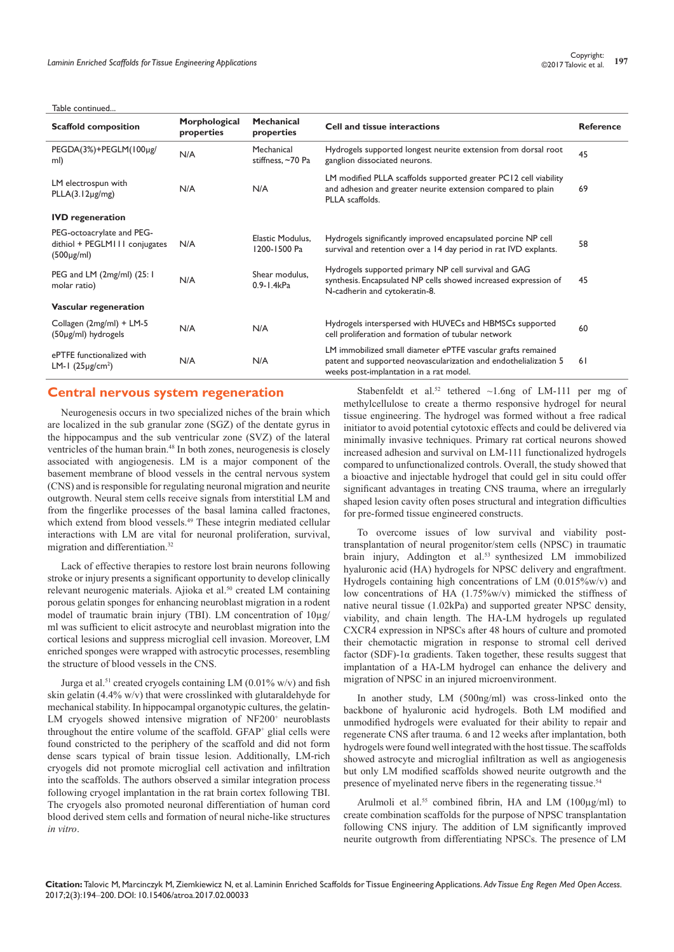#### Table continued.

| <b>Scaffold composition</b>                                                   | Morphological<br>properties | <b>Mechanical</b><br>properties  | Cell and tissue interactions                                                                                                                                                | <b>Reference</b> |
|-------------------------------------------------------------------------------|-----------------------------|----------------------------------|-----------------------------------------------------------------------------------------------------------------------------------------------------------------------------|------------------|
| PEGDA(3%)+PEGLM(100µg/<br>ml)                                                 | N/A                         | Mechanical<br>stiffness, ~70 Pa  | Hydrogels supported longest neurite extension from dorsal root<br>ganglion dissociated neurons.                                                                             | 45               |
| LM electrospun with<br>$PLLA(3.12\mu g/mg)$                                   | N/A                         | N/A                              | LM modified PLLA scaffolds supported greater PC12 cell viability<br>and adhesion and greater neurite extension compared to plain<br>PLLA scaffolds.                         | 69               |
| <b>IVD</b> regeneration                                                       |                             |                                  |                                                                                                                                                                             |                  |
| PEG-octoacrylate and PEG-<br>dithiol + PEGLM111 conjugates<br>$(500\mu g/ml)$ | N/A                         | Elastic Modulus.<br>1200-1500 Pa | Hydrogels significantly improved encapsulated porcine NP cell<br>survival and retention over a 14 day period in rat IVD explants.                                           | 58               |
| PEG and LM $(2mg/ml)$ $(25:1$<br>molar ratio)                                 | N/A                         | Shear modulus,<br>0.9-1.4kPa     | Hydrogels supported primary NP cell survival and GAG<br>synthesis. Encapsulated NP cells showed increased expression of<br>N-cadherin and cytokeratin-8.                    | 45               |
| Vascular regeneration                                                         |                             |                                  |                                                                                                                                                                             |                  |
| Collagen (2mg/ml) + LM-5<br>$(50\mu g/ml)$ hydrogels                          | N/A                         | N/A                              | Hydrogels interspersed with HUVECs and HBMSCs supported<br>cell proliferation and formation of tubular network                                                              | 60               |
| ePTFE functionalized with<br>LM-1 $(25\mu g/cm^2)$                            | N/A                         | N/A                              | LM immobilized small diameter ePTFE vascular grafts remained<br>patent and supported neovascularization and endothelialization 5<br>weeks post-implantation in a rat model. | 61               |

## **Central nervous system regeneration**

Neurogenesis occurs in two specialized niches of the brain which are localized in the sub granular zone (SGZ) of the dentate gyrus in the hippocampus and the sub ventricular zone (SVZ) of the lateral ventricles of the human brain.<sup>48</sup> In both zones, neurogenesis is closely associated with angiogenesis. LM is a major component of the basement membrane of blood vessels in the central nervous system (CNS) and is responsible for regulating neuronal migration and neurite outgrowth. Neural stem cells receive signals from interstitial LM and from the fingerlike processes of the basal lamina called fractones, which extend from blood vessels.<sup>49</sup> These integrin mediated cellular interactions with LM are vital for neuronal proliferation, survival, migration and differentiation.<sup>32</sup>

Lack of effective therapies to restore lost brain neurons following stroke or injury presents a significant opportunity to develop clinically relevant neurogenic materials. Ajioka et al.50 created LM containing porous gelatin sponges for enhancing neuroblast migration in a rodent model of traumatic brain injury (TBI). LM concentration of 10µg/ ml was sufficient to elicit astrocyte and neuroblast migration into the cortical lesions and suppress microglial cell invasion. Moreover, LM enriched sponges were wrapped with astrocytic processes, resembling the structure of blood vessels in the CNS.

Jurga et al.<sup>51</sup> created cryogels containing LM  $(0.01\%$  w/v) and fish skin gelatin (4.4% w/v) that were crosslinked with glutaraldehyde for mechanical stability. In hippocampal organotypic cultures, the gelatin-LM cryogels showed intensive migration of NF200<sup>+</sup> neuroblasts throughout the entire volume of the scaffold. GFAP+ glial cells were found constricted to the periphery of the scaffold and did not form dense scars typical of brain tissue lesion. Additionally, LM-rich cryogels did not promote microglial cell activation and infiltration into the scaffolds. The authors observed a similar integration process following cryogel implantation in the rat brain cortex following TBI. The cryogels also promoted neuronal differentiation of human cord blood derived stem cells and formation of neural niche-like structures *in vitro*.

Stabenfeldt et al.<sup>52</sup> tethered  $\sim$ 1.6ng of LM-111 per mg of methylcellulose to create a thermo responsive hydrogel for neural tissue engineering. The hydrogel was formed without a free radical initiator to avoid potential cytotoxic effects and could be delivered via minimally invasive techniques. Primary rat cortical neurons showed increased adhesion and survival on LM-111 functionalized hydrogels compared to unfunctionalized controls. Overall, the study showed that a bioactive and injectable hydrogel that could gel in situ could offer significant advantages in treating CNS trauma, where an irregularly shaped lesion cavity often poses structural and integration difficulties for pre-formed tissue engineered constructs.

To overcome issues of low survival and viability posttransplantation of neural progenitor/stem cells (NPSC) in traumatic brain injury, Addington et al.53 synthesized LM immobilized hyaluronic acid (HA) hydrogels for NPSC delivery and engraftment. Hydrogels containing high concentrations of LM (0.015%w/v) and low concentrations of HA (1.75%w/v) mimicked the stiffness of native neural tissue (1.02kPa) and supported greater NPSC density, viability, and chain length. The HA-LM hydrogels up regulated CXCR4 expression in NPSCs after 48 hours of culture and promoted their chemotactic migration in response to stromal cell derived factor (SDF)-1 $\alpha$  gradients. Taken together, these results suggest that implantation of a HA-LM hydrogel can enhance the delivery and migration of NPSC in an injured microenvironment.

In another study, LM (500ng/ml) was cross-linked onto the backbone of hyaluronic acid hydrogels. Both LM modified and unmodified hydrogels were evaluated for their ability to repair and regenerate CNS after trauma. 6 and 12 weeks after implantation, both hydrogels were found well integrated with the host tissue. The scaffolds showed astrocyte and microglial infiltration as well as angiogenesis but only LM modified scaffolds showed neurite outgrowth and the presence of myelinated nerve fibers in the regenerating tissue.<sup>54</sup>

Arulmoli et al.<sup>55</sup> combined fibrin, HA and LM  $(100\mu g/ml)$  to create combination scaffolds for the purpose of NPSC transplantation following CNS injury. The addition of LM significantly improved neurite outgrowth from differentiating NPSCs. The presence of LM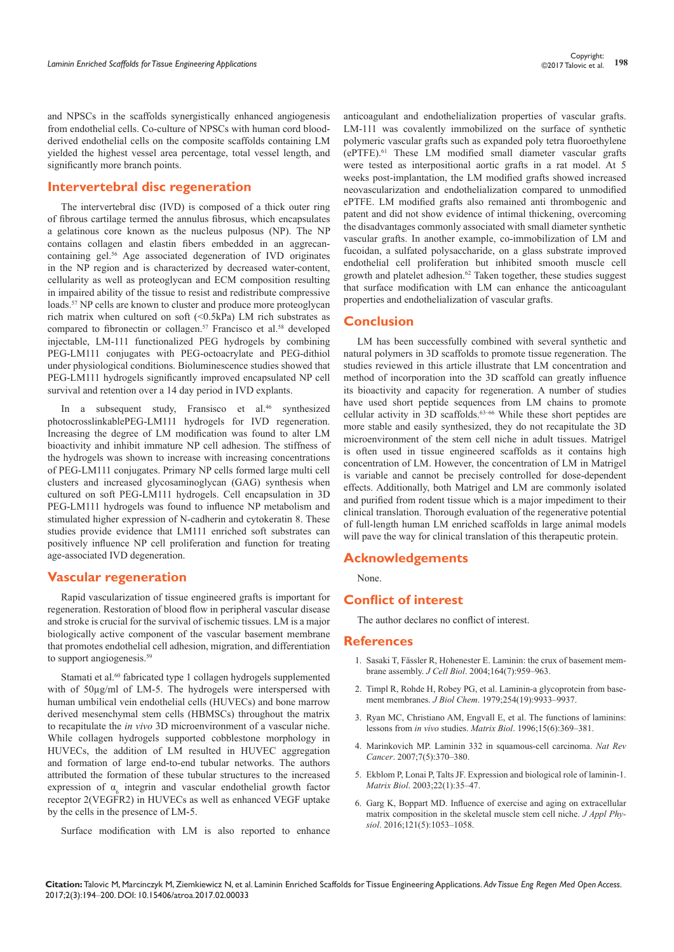and NPSCs in the scaffolds synergistically enhanced angiogenesis from endothelial cells. Co-culture of NPSCs with human cord bloodderived endothelial cells on the composite scaffolds containing LM yielded the highest vessel area percentage, total vessel length, and significantly more branch points.

# **Intervertebral disc regeneration**

The intervertebral disc (IVD) is composed of a thick outer ring of fibrous cartilage termed the annulus fibrosus, which encapsulates a gelatinous core known as the nucleus pulposus (NP). The NP contains collagen and elastin fibers embedded in an aggrecancontaining gel.56 Age associated degeneration of IVD originates in the NP region and is characterized by decreased water-content, cellularity as well as proteoglycan and ECM composition resulting in impaired ability of the tissue to resist and redistribute compressive loads.<sup>57</sup> NP cells are known to cluster and produce more proteoglycan rich matrix when cultured on soft (<0.5kPa) LM rich substrates as compared to fibronectin or collagen.<sup>57</sup> Francisco et al.<sup>58</sup> developed injectable, LM-111 functionalized PEG hydrogels by combining PEG-LM111 conjugates with PEG-octoacrylate and PEG-dithiol under physiological conditions. Bioluminescence studies showed that PEG-LM111 hydrogels significantly improved encapsulated NP cell survival and retention over a 14 day period in IVD explants.

In a subsequent study, Fransisco et al.<sup>46</sup> synthesized photocrosslinkablePEG-LM111 hydrogels for IVD regeneration. Increasing the degree of LM modification was found to alter LM bioactivity and inhibit immature NP cell adhesion. The stiffness of the hydrogels was shown to increase with increasing concentrations of PEG-LM111 conjugates. Primary NP cells formed large multi cell clusters and increased glycosaminoglycan (GAG) synthesis when cultured on soft PEG-LM111 hydrogels. Cell encapsulation in 3D PEG-LM111 hydrogels was found to influence NP metabolism and stimulated higher expression of N-cadherin and cytokeratin 8. These studies provide evidence that LM111 enriched soft substrates can positively influence NP cell proliferation and function for treating age-associated IVD degeneration.

# **Vascular regeneration**

Rapid vascularization of tissue engineered grafts is important for regeneration. Restoration of blood flow in peripheral vascular disease and stroke is crucial for the survival of ischemic tissues. LM is a major biologically active component of the vascular basement membrane that promotes endothelial cell adhesion, migration, and differentiation to support angiogenesis.<sup>59</sup>

Stamati et al.<sup>60</sup> fabricated type 1 collagen hydrogels supplemented with of  $50\mu$ g/ml of LM-5. The hydrogels were interspersed with human umbilical vein endothelial cells (HUVECs) and bone marrow derived mesenchymal stem cells (HBMSCs) throughout the matrix to recapitulate the *in vivo* 3D microenvironment of a vascular niche. While collagen hydrogels supported cobblestone morphology in HUVECs, the addition of LM resulted in HUVEC aggregation and formation of large end-to-end tubular networks. The authors attributed the formation of these tubular structures to the increased expression of  $\alpha_6$  integrin and vascular endothelial growth factor receptor 2(VEGFR2) in HUVECs as well as enhanced VEGF uptake by the cells in the presence of LM-5.

Surface modification with LM is also reported to enhance

anticoagulant and endothelialization properties of vascular grafts. LM-111 was covalently immobilized on the surface of synthetic polymeric vascular grafts such as expanded poly tetra fluoroethylene (ePTFE).61 These LM modified small diameter vascular grafts were tested as interpositional aortic grafts in a rat model. At 5 weeks post-implantation, the LM modified grafts showed increased neovascularization and endothelialization compared to unmodified ePTFE. LM modified grafts also remained anti thrombogenic and patent and did not show evidence of intimal thickening, overcoming the disadvantages commonly associated with small diameter synthetic vascular grafts. In another example, co-immobilization of LM and fucoidan, a sulfated polysaccharide, on a glass substrate improved endothelial cell proliferation but inhibited smooth muscle cell growth and platelet adhesion.<sup>62</sup> Taken together, these studies suggest that surface modification with LM can enhance the anticoagulant properties and endothelialization of vascular grafts.

## **Conclusion**

LM has been successfully combined with several synthetic and natural polymers in 3D scaffolds to promote tissue regeneration. The studies reviewed in this article illustrate that LM concentration and method of incorporation into the 3D scaffold can greatly influence its bioactivity and capacity for regeneration. A number of studies have used short peptide sequences from LM chains to promote cellular activity in 3D scaffolds.63–66 While these short peptides are more stable and easily synthesized, they do not recapitulate the 3D microenvironment of the stem cell niche in adult tissues. Matrigel is often used in tissue engineered scaffolds as it contains high concentration of LM. However, the concentration of LM in Matrigel is variable and cannot be precisely controlled for dose-dependent effects. Additionally, both Matrigel and LM are commonly isolated and purified from rodent tissue which is a major impediment to their clinical translation. Thorough evaluation of the regenerative potential of full-length human LM enriched scaffolds in large animal models will pave the way for clinical translation of this therapeutic protein.

#### **Acknowledgements**

None.

# **Conflict of interest**

The author declares no conflict of interest.

#### **References**

- 1. [Sasaki T, Fässler R, Hohenester E. Laminin: the crux of basement mem](https://www.ncbi.nlm.nih.gov/pubmed/15037599)brane assembly. *J Cell Biol*[. 2004;164\(7\):959–963.](https://www.ncbi.nlm.nih.gov/pubmed/15037599)
- 2. [Timpl R, Rohde H, Robey PG, et al. Laminin-a glycoprotein from base](https://www.ncbi.nlm.nih.gov/pubmed/114518)ment membranes. *J Biol Chem*[. 1979;254\(19\):9933–9937.](https://www.ncbi.nlm.nih.gov/pubmed/114518)
- 3. [Ryan MC, Christiano AM, Engvall E, et al. The functions of laminins:](https://www.ncbi.nlm.nih.gov/pubmed/9049976)  lessons from *in vivo* studies. *Matrix Biol*[. 1996;15\(6\):369–381.](https://www.ncbi.nlm.nih.gov/pubmed/9049976)
- 4. [Marinkovich MP. Laminin 332 in squamous-cell carcinoma.](https://www.ncbi.nlm.nih.gov/pubmed/17457303) *Nat Rev Cancer*[. 2007;7\(5\):370–380.](https://www.ncbi.nlm.nih.gov/pubmed/17457303)
- 5. [Ekblom P, Lonai P, Talts JF. Expression and biological role of laminin-1.](https://www.ncbi.nlm.nih.gov/pubmed/12714040)  *Matrix Biol*[. 2003;22\(1\):35–47.](https://www.ncbi.nlm.nih.gov/pubmed/12714040)
- 6. [Garg K, Boppart MD. Influence of exercise and aging on extracellular](https://www.ncbi.nlm.nih.gov/pubmed/27539500)  [matrix composition in the skeletal muscle stem cell niche.](https://www.ncbi.nlm.nih.gov/pubmed/27539500) *J Appl Physiol*[. 2016;121\(5\):1053–1058.](https://www.ncbi.nlm.nih.gov/pubmed/27539500)

**Citation:** Talovic M, Marcinczyk M, Ziemkiewicz N, et al. Laminin Enriched Scaffolds for Tissue Engineering Applications. *Adv Tissue Eng Regen Med Open Access.* 2017;2(3):194‒200. DOI: [10.15406/atroa.2017.02.00033](https://doi.org/10.15406/atroa.2017.02.00033)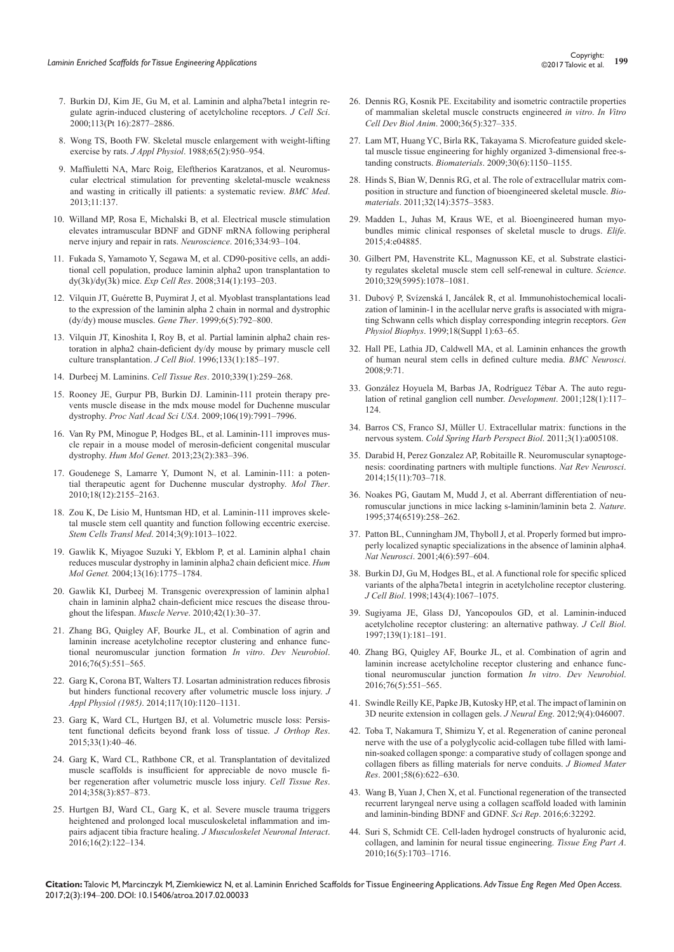- 7. [Burkin DJ, Kim JE, Gu M, et al. Laminin and alpha7beta1 integrin re](https://www.ncbi.nlm.nih.gov/pubmed/10910772)[gulate agrin-induced clustering of acetylcholine receptors.](https://www.ncbi.nlm.nih.gov/pubmed/10910772) *J Cell Sci*. [2000;113\(Pt 16\):2877–2886.](https://www.ncbi.nlm.nih.gov/pubmed/10910772)
- 8. [Wong TS, Booth FW. Skeletal muscle enlargement with weight-lifting](https://www.ncbi.nlm.nih.gov/pubmed/2459101)  exercise by rats. *J Appl Physiol*[. 1988;65\(2\):950–954.](https://www.ncbi.nlm.nih.gov/pubmed/2459101)
- 9. [Maffiuletti NA, Marc Roig, Eleftherios Karatzanos, et al. Neuromus](https://bmcmedicine.biomedcentral.com/articles/10.1186/1741-7015-11-137)[cular electrical stimulation for preventing skeletal-muscle weakness](https://bmcmedicine.biomedcentral.com/articles/10.1186/1741-7015-11-137)  [and wasting in critically ill patients: a systematic review.](https://bmcmedicine.biomedcentral.com/articles/10.1186/1741-7015-11-137) *BMC Med*. [2013;11:137.](https://bmcmedicine.biomedcentral.com/articles/10.1186/1741-7015-11-137)
- 10. [Willand MP, Rosa E, Michalski B, et al. Electrical muscle stimulation](https://www.ncbi.nlm.nih.gov/pubmed/27476437)  [elevates intramuscular BDNF and GDNF mRNA following peripheral](https://www.ncbi.nlm.nih.gov/pubmed/27476437)  [nerve injury and repair in rats.](https://www.ncbi.nlm.nih.gov/pubmed/27476437) *Neuroscience*. 2016;334:93–104.
- 11. [Fukada S, Yamamoto Y, Segawa M, et al. CD90-positive cells, an addi](https://www.ncbi.nlm.nih.gov/pubmed/17963748)[tional cell population, produce laminin alpha2 upon transplantation to](https://www.ncbi.nlm.nih.gov/pubmed/17963748)  dy(3k)/dy(3k) mice. *Exp Cell Res*[. 2008;314\(1\):193–203.](https://www.ncbi.nlm.nih.gov/pubmed/17963748)
- 12. [Vilquin JT, Guérette B, Puymirat J, et al. Myoblast transplantations lead](https://www.ncbi.nlm.nih.gov/pubmed/10505103)  [to the expression of the laminin alpha 2 chain in normal and dystrophic](https://www.ncbi.nlm.nih.gov/pubmed/10505103)  [\(dy/dy\) mouse muscles.](https://www.ncbi.nlm.nih.gov/pubmed/10505103) *Gene Ther*. 1999;6(5):792–800.
- 13. [Vilquin JT, Kinoshita I, Roy B, et al. Partial laminin alpha2 chain res](https://www.ncbi.nlm.nih.gov/pubmed/8601607/)[toration in alpha2 chain-deficient dy/dy mouse by primary muscle cell](https://www.ncbi.nlm.nih.gov/pubmed/8601607/)  culture transplantation. *J Cell Biol*[. 1996;133\(1\):185–197.](https://www.ncbi.nlm.nih.gov/pubmed/8601607/)
- 14. Durbeej M. Laminins. *Cell Tissue Res*[. 2010;339\(1\):259–268.](https://www.ncbi.nlm.nih.gov/pubmed/19693542)
- 15. [Rooney JE, Gurpur PB, Burkin DJ. Laminin-111 protein therapy pre](https://www.ncbi.nlm.nih.gov/pubmed/19416897)[vents muscle disease in the mdx mouse model for Duchenne muscular](https://www.ncbi.nlm.nih.gov/pubmed/19416897)  dystrophy. *Proc Natl Acad Sci USA*[. 2009;106\(19\):7991–7996.](https://www.ncbi.nlm.nih.gov/pubmed/19416897)
- 16. [Van Ry PM, Minogue P, Hodges BL, et al. Laminin-111 improves mus](https://www.ncbi.nlm.nih.gov/pubmed/24009313/)[cle repair in a mouse model of merosin-deficient congenital muscular](https://www.ncbi.nlm.nih.gov/pubmed/24009313/)  dystrophy. *Hum Mol Genet*[. 2013;23\(2\):383–396.](https://www.ncbi.nlm.nih.gov/pubmed/24009313/)
- 17. [Goudenege S, Lamarre Y, Dumont N, et al. Laminin-111: a poten](https://www.ncbi.nlm.nih.gov/pubmed/20683444)[tial therapeutic agent for Duchenne muscular dystrophy.](https://www.ncbi.nlm.nih.gov/pubmed/20683444) *Mol Ther*. [2010;18\(12\):2155–2163.](https://www.ncbi.nlm.nih.gov/pubmed/20683444)
- 18. [Zou K, De Lisio M, Huntsman HD, et al. Laminin-111 improves skele](https://www.ncbi.nlm.nih.gov/pubmed/25015639)[tal muscle stem cell quantity and function following eccentric exercise.](https://www.ncbi.nlm.nih.gov/pubmed/25015639)  *Stem Cells Transl Med*[. 2014;3\(9\):1013–1022.](https://www.ncbi.nlm.nih.gov/pubmed/25015639)
- 19. [Gawlik K, Miyagoe Suzuki Y, Ekblom P, et al. Laminin alpha1 chain](https://www.ncbi.nlm.nih.gov/pubmed/15213105)  [reduces muscular dystrophy in laminin alpha2 chain deficient mice.](https://www.ncbi.nlm.nih.gov/pubmed/15213105) *Hum Mol Genet.* [2004;13\(16\):1775–1784.](https://www.ncbi.nlm.nih.gov/pubmed/15213105)
- 20. [Gawlik KI, Durbeej M. Transgenic overexpression of laminin alpha1](https://www.ncbi.nlm.nih.gov/pubmed/20544910)  [chain in laminin alpha2 chain-deficient mice rescues the disease throu](https://www.ncbi.nlm.nih.gov/pubmed/20544910)ghout the lifespan. *Muscle Nerve*[. 2010;42\(1\):30–37.](https://www.ncbi.nlm.nih.gov/pubmed/20544910)
- 21. [Zhang BG, Quigley AF, Bourke JL, et al. Combination of agrin and](https://www.ncbi.nlm.nih.gov/pubmed/26251299)  [laminin increase acetylcholine receptor clustering and enhance func](https://www.ncbi.nlm.nih.gov/pubmed/26251299)[tional neuromuscular junction formation](https://www.ncbi.nlm.nih.gov/pubmed/26251299) *In vitro*. *Dev Neurobiol*. [2016;76\(5\):551–565.](https://www.ncbi.nlm.nih.gov/pubmed/26251299)
- 22. [Garg K, Corona BT, Walters TJ. Losartan administration reduces fibrosis](https://www.ncbi.nlm.nih.gov/pubmed/25257876)  [but hinders functional recovery after volumetric muscle loss injury.](https://www.ncbi.nlm.nih.gov/pubmed/25257876) *J Appl Physiol (1985)*[. 2014;117\(10\):1120–1131.](https://www.ncbi.nlm.nih.gov/pubmed/25257876)
- 23. [Garg K, Ward CL, Hurtgen BJ, et al. Volumetric muscle loss: Persis](https://www.ncbi.nlm.nih.gov/pubmed/25231205)[tent functional deficits beyond frank loss of tissue.](https://www.ncbi.nlm.nih.gov/pubmed/25231205) *J Orthop Res*. [2015;33\(1\):40–46.](https://www.ncbi.nlm.nih.gov/pubmed/25231205)
- 24. [Garg K, Ward CL, Rathbone CR, et al. Transplantation of devitalized](https://www.ncbi.nlm.nih.gov/pubmed/25300647)  [muscle scaffolds is insufficient for appreciable de novo muscle fi](https://www.ncbi.nlm.nih.gov/pubmed/25300647)[ber regeneration after volumetric muscle loss injury.](https://www.ncbi.nlm.nih.gov/pubmed/25300647) *Cell Tissue Res*. [2014;358\(3\):857–873.](https://www.ncbi.nlm.nih.gov/pubmed/25300647)
- 25. [Hurtgen BJ, Ward CL, Garg K, et al. Severe muscle trauma triggers](https://www.ncbi.nlm.nih.gov/pubmed/27282456/)  [heightened and prolonged local musculoskeletal inflammation and im](https://www.ncbi.nlm.nih.gov/pubmed/27282456/)[pairs adjacent tibia fracture healing.](https://www.ncbi.nlm.nih.gov/pubmed/27282456/) *J Musculoskelet Neuronal Interact*. [2016;16\(2\):122–134.](https://www.ncbi.nlm.nih.gov/pubmed/27282456/)
- 26. [Dennis RG, Kosnik PE. Excitability and isometric contractile properties](https://www.ncbi.nlm.nih.gov/pubmed/10937836)  [of mammalian skeletal muscle constructs engineered](https://www.ncbi.nlm.nih.gov/pubmed/10937836) *in vitro*. *In Vitro Cell Dev Biol Anim*[. 2000;36\(5\):327–335.](https://www.ncbi.nlm.nih.gov/pubmed/10937836)
- 27. [Lam MT, Huang YC, Birla RK, Takayama S. Microfeature guided skele](https://www.ncbi.nlm.nih.gov/pubmed/19064284)[tal muscle tissue engineering for highly organized 3-dimensional free-s](https://www.ncbi.nlm.nih.gov/pubmed/19064284)tanding constructs. *Biomaterials*[. 2009;30\(6\):1150–1155.](https://www.ncbi.nlm.nih.gov/pubmed/19064284)
- 28. [Hinds S, Bian W, Dennis RG, et al. The role of extracellular matrix com](https://www.ncbi.nlm.nih.gov/pubmed/21324402)[position in structure and function of bioengineered skeletal muscle.](https://www.ncbi.nlm.nih.gov/pubmed/21324402) *Biomaterials*[. 2011;32\(14\):3575–3583.](https://www.ncbi.nlm.nih.gov/pubmed/21324402)
- 29. [Madden L, Juhas M, Kraus WE, et al. Bioengineered human myo](https://www.ncbi.nlm.nih.gov/pubmed/25575180)[bundles mimic clinical responses of skeletal muscle to drugs.](https://www.ncbi.nlm.nih.gov/pubmed/25575180) *Elife*. [2015;4:e04885.](https://www.ncbi.nlm.nih.gov/pubmed/25575180)
- 30. [Gilbert PM, Havenstrite KL, Magnusson KE, et al. Substrate elastici](https://www.ncbi.nlm.nih.gov/pubmed/20647425)[ty regulates skeletal muscle stem cell self-renewal in culture.](https://www.ncbi.nlm.nih.gov/pubmed/20647425) *Science*. [2010;329\(5995\):1078–1081.](https://www.ncbi.nlm.nih.gov/pubmed/20647425)
- 31. [Dubový P, Svízenská I, Jancálek R, et al. Immunohistochemical locali](https://www.ncbi.nlm.nih.gov/pubmed/10707839)[zation of laminin-1 in the acellular nerve grafts is associated with migra](https://www.ncbi.nlm.nih.gov/pubmed/10707839)[ting Schwann cells which display corresponding integrin receptors.](https://www.ncbi.nlm.nih.gov/pubmed/10707839) *Gen Physiol Biophys*[. 1999;18\(Suppl 1\):63–65.](https://www.ncbi.nlm.nih.gov/pubmed/10707839)
- 32. [Hall PE, Lathia JD, Caldwell MA, et al. Laminin enhances the growth](https://www.ncbi.nlm.nih.gov/pubmed/18651950/)  [of human neural stem cells in defined culture media.](https://www.ncbi.nlm.nih.gov/pubmed/18651950/) *BMC Neurosci*. [2008;9:71.](https://www.ncbi.nlm.nih.gov/pubmed/18651950/)
- 33. [González Hoyuela M, Barbas JA, Rodríguez Tébar A. The auto regu](https://www.ncbi.nlm.nih.gov/pubmed/11092817)[lation of retinal ganglion cell number.](https://www.ncbi.nlm.nih.gov/pubmed/11092817) *Development*. 2001;128(1):117– [124.](https://www.ncbi.nlm.nih.gov/pubmed/11092817)
- 34. [Barros CS, Franco SJ, Müller U. Extracellular matrix: functions in the](https://www.ncbi.nlm.nih.gov/pubmed/21123393/)  nervous system. *[Cold Spring Harb Perspect Biol](https://www.ncbi.nlm.nih.gov/pubmed/21123393/)*. 2011;3(1):a005108.
- 35. [Darabid H, Perez Gonzalez AP, Robitaille R. Neuromuscular synaptoge](https://www.ncbi.nlm.nih.gov/pubmed/25493308)[nesis: coordinating partners with multiple functions.](https://www.ncbi.nlm.nih.gov/pubmed/25493308) *Nat Rev Neurosci*. [2014;15\(11\):703–718.](https://www.ncbi.nlm.nih.gov/pubmed/25493308)
- 36. [Noakes PG, Gautam M, Mudd J, et al. Aberrant differentiation of neu](https://www.ncbi.nlm.nih.gov/pubmed/7885444)[romuscular junctions in mice lacking s-laminin/laminin beta 2.](https://www.ncbi.nlm.nih.gov/pubmed/7885444) *Nature*. [1995;374\(6519\):258–262.](https://www.ncbi.nlm.nih.gov/pubmed/7885444)
- 37. [Patton BL, Cunningham JM, Thyboll J, et al. Properly formed but impro](https://www.ncbi.nlm.nih.gov/pubmed/11369940)[perly localized synaptic specializations in the absence of laminin alpha4.](https://www.ncbi.nlm.nih.gov/pubmed/11369940)  *Nat Neurosci*[. 2001;4\(6\):597–604.](https://www.ncbi.nlm.nih.gov/pubmed/11369940)
- 38. [Burkin DJ, Gu M, Hodges BL, et al. A functional role for specific spliced](https://www.ncbi.nlm.nih.gov/pubmed/9817762)  [variants of the alpha7beta1 integrin in acetylcholine receptor clustering.](https://www.ncbi.nlm.nih.gov/pubmed/9817762) *J Cell Biol*[. 1998;143\(4\):1067–1075.](https://www.ncbi.nlm.nih.gov/pubmed/9817762)
- 39. [Sugiyama JE, Glass DJ, Yancopoulos GD, et al. Laminin-induced](https://www.ncbi.nlm.nih.gov/pubmed/9314538/)  [acetylcholine receptor clustering: an alternative pathway.](https://www.ncbi.nlm.nih.gov/pubmed/9314538/) *J Cell Biol*. [1997;139\(1\):181–191.](https://www.ncbi.nlm.nih.gov/pubmed/9314538/)
- 40. [Zhang BG, Quigley AF, Bourke JL, et al. Combination of agrin and](https://www.ncbi.nlm.nih.gov/pubmed/26251299)  [laminin increase acetylcholine receptor clustering and enhance func](https://www.ncbi.nlm.nih.gov/pubmed/26251299)[tional neuromuscular junction formation](https://www.ncbi.nlm.nih.gov/pubmed/26251299) *In vitro*. *Dev Neurobiol*. [2016;76\(5\):551–565.](https://www.ncbi.nlm.nih.gov/pubmed/26251299)
- 41. [Swindle Reilly KE, Papke JB, Kutosky HP, et al. The impact of laminin on](https://www.ncbi.nlm.nih.gov/pubmed/22736189)  [3D neurite extension in collagen gels.](https://www.ncbi.nlm.nih.gov/pubmed/22736189) *J Neural Eng*. 2012;9(4):046007.
- 42. [Toba T, Nakamura T, Shimizu Y, et al. Regeneration of canine peroneal](https://www.ncbi.nlm.nih.gov/pubmed/11745513)  [nerve with the use of a polyglycolic acid-collagen tube filled with lami](https://www.ncbi.nlm.nih.gov/pubmed/11745513)[nin-soaked collagen sponge: a comparative study of collagen sponge and](https://www.ncbi.nlm.nih.gov/pubmed/11745513)  [collagen fibers as filling materials for nerve conduits.](https://www.ncbi.nlm.nih.gov/pubmed/11745513) *J Biomed Mater Res*[. 2001;58\(6\):622–630.](https://www.ncbi.nlm.nih.gov/pubmed/11745513)
- 43. [Wang B, Yuan J, Chen X, et al. Functional regeneration of the transected](https://www.ncbi.nlm.nih.gov/pubmed/27558932/)  [recurrent laryngeal nerve using a collagen scaffold loaded with laminin](https://www.ncbi.nlm.nih.gov/pubmed/27558932/)  [and laminin-binding BDNF and GDNF.](https://www.ncbi.nlm.nih.gov/pubmed/27558932/) *Sci Rep*. 2016;6:32292.
- 44. [Suri S, Schmidt CE. Cell-laden hydrogel constructs of hyaluronic acid,](https://www.ncbi.nlm.nih.gov/pubmed/20136524)  [collagen, and laminin for neural tissue engineering.](https://www.ncbi.nlm.nih.gov/pubmed/20136524) *Tissue Eng Part A*. [2010;16\(5\):1703–1716.](https://www.ncbi.nlm.nih.gov/pubmed/20136524)

**Citation:** Talovic M, Marcinczyk M, Ziemkiewicz N, et al. Laminin Enriched Scaffolds for Tissue Engineering Applications. *Adv Tissue Eng Regen Med Open Access.* 2017;2(3):194‒200. DOI: [10.15406/atroa.2017.02.00033](https://doi.org/10.15406/atroa.2017.02.00033)